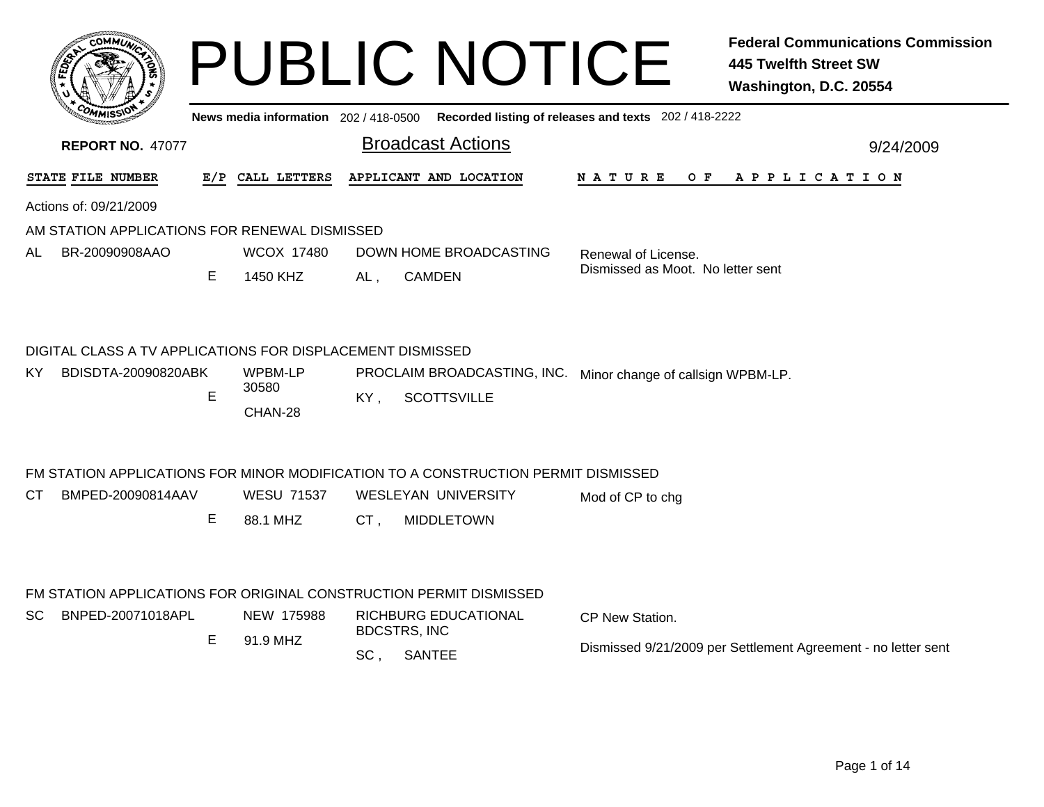|     |                                                            |    |                   |     | <b>PUBLIC NOTICE</b>                                                                    |                                   | <b>Federal Communications Commission</b><br><b>445 Twelfth Street SW</b><br>Washington, D.C. 20554 |
|-----|------------------------------------------------------------|----|-------------------|-----|-----------------------------------------------------------------------------------------|-----------------------------------|----------------------------------------------------------------------------------------------------|
|     |                                                            |    |                   |     | News media information 202/418-0500 Recorded listing of releases and texts 202/418-2222 |                                   |                                                                                                    |
|     | <b>REPORT NO. 47077</b>                                    |    |                   |     | <b>Broadcast Actions</b>                                                                |                                   | 9/24/2009                                                                                          |
|     | STATE FILE NUMBER                                          |    | E/P CALL LETTERS  |     | APPLICANT AND LOCATION                                                                  |                                   | NATURE OF APPLICATION                                                                              |
|     | Actions of: 09/21/2009                                     |    |                   |     |                                                                                         |                                   |                                                                                                    |
|     | AM STATION APPLICATIONS FOR RENEWAL DISMISSED              |    |                   |     |                                                                                         |                                   |                                                                                                    |
| AL. | BR-20090908AAO                                             |    | <b>WCOX 17480</b> |     | DOWN HOME BROADCASTING                                                                  | Renewal of License.               |                                                                                                    |
|     |                                                            | Е  | 1450 KHZ          | AL, | <b>CAMDEN</b>                                                                           | Dismissed as Moot. No letter sent |                                                                                                    |
|     | DIGITAL CLASS A TV APPLICATIONS FOR DISPLACEMENT DISMISSED |    |                   |     |                                                                                         |                                   |                                                                                                    |
| ΚY  | BDISDTA-20090820ABK                                        |    | WPBM-LP<br>30580  |     | PROCLAIM BROADCASTING, INC. Minor change of callsign WPBM-LP.                           |                                   |                                                                                                    |
|     |                                                            | E  | CHAN-28           | KY, | <b>SCOTTSVILLE</b>                                                                      |                                   |                                                                                                    |
|     |                                                            |    |                   |     | FM STATION APPLICATIONS FOR MINOR MODIFICATION TO A CONSTRUCTION PERMIT DISMISSED       |                                   |                                                                                                    |
| CT. | BMPED-20090814AAV                                          |    | <b>WESU 71537</b> |     | <b>WESLEYAN UNIVERSITY</b>                                                              | Mod of CP to chg                  |                                                                                                    |
|     |                                                            | E. | 88.1 MHZ          | CT. | <b>MIDDLETOWN</b>                                                                       |                                   |                                                                                                    |
|     |                                                            |    |                   |     | FM STATION APPLICATIONS FOR ORIGINAL CONSTRUCTION PERMIT DISMISSED                      |                                   |                                                                                                    |
|     | DUDED 00074040ADL                                          |    |                   |     | NEW AZEODO DIOURURO ERUQATIONAL                                                         |                                   |                                                                                                    |

| SC | BNPED-20071018APL | NEW 175988 | RICHBURG EDUCATIONAL<br><b>BDCSTRS. INC</b> | CP New Station.                                               |
|----|-------------------|------------|---------------------------------------------|---------------------------------------------------------------|
|    |                   | 91.9 MHZ   |                                             |                                                               |
|    |                   |            | <b>SANTEE</b>                               | Dismissed 9/21/2009 per Settlement Agreement - no letter sent |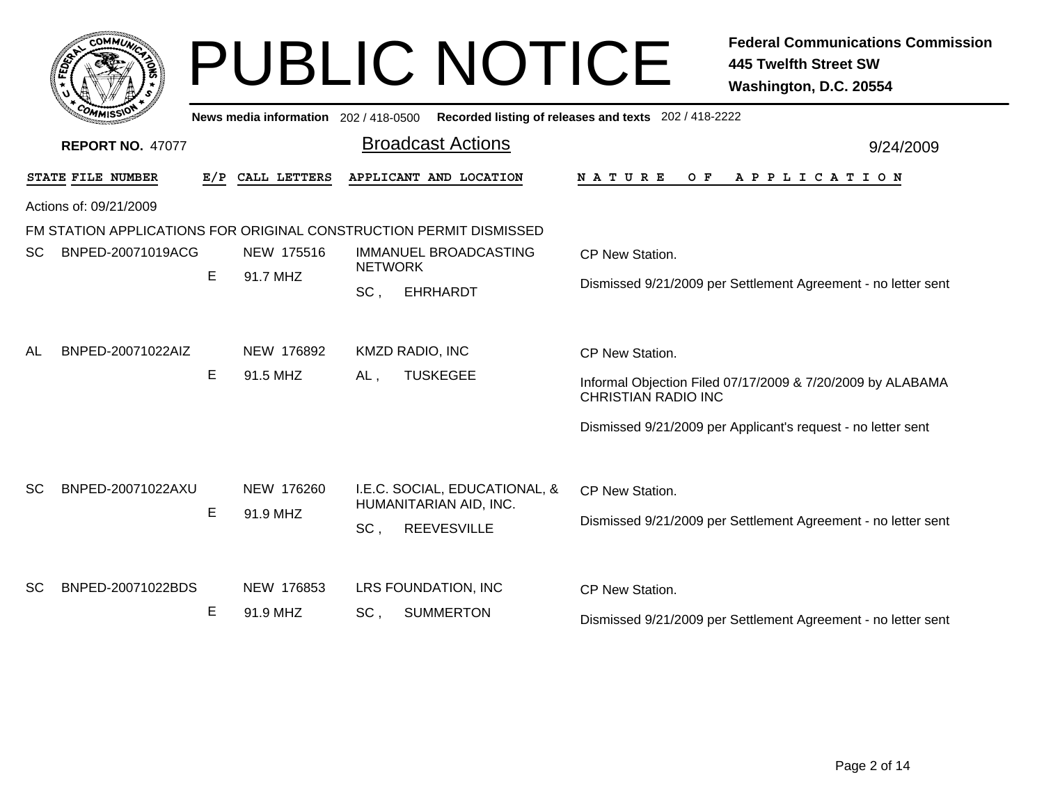| <b>COMMU</b>                   |               |                                       | <b>PUBLIC NOTICE</b>                                               | <b>Federal Communications Commission</b><br><b>445 Twelfth Street SW</b><br>Washington, D.C. 20554 |
|--------------------------------|---------------|---------------------------------------|--------------------------------------------------------------------|----------------------------------------------------------------------------------------------------|
|                                |               | News media information 202 / 418-0500 |                                                                    | Recorded listing of releases and texts 202 / 418-2222                                              |
| <b>REPORT NO. 47077</b>        |               |                                       | <b>Broadcast Actions</b>                                           | 9/24/2009                                                                                          |
| STATE FILE NUMBER              | E/P           | CALL LETTERS                          | APPLICANT AND LOCATION                                             | N A T U R E<br>O F<br>A P P L I C A T I O N                                                        |
| Actions of: 09/21/2009         |               |                                       |                                                                    |                                                                                                    |
|                                |               |                                       | FM STATION APPLICATIONS FOR ORIGINAL CONSTRUCTION PERMIT DISMISSED |                                                                                                    |
| BNPED-20071019ACG<br>SC.       |               | NEW 175516                            | IMMANUEL BROADCASTING                                              | CP New Station.                                                                                    |
|                                | E             | 91.7 MHZ                              | <b>NETWORK</b><br>SC.<br><b>EHRHARDT</b>                           | Dismissed 9/21/2009 per Settlement Agreement - no letter sent                                      |
| BNPED-20071022AIZ<br>AL        |               | NEW 176892                            | <b>KMZD RADIO, INC</b>                                             | CP New Station.                                                                                    |
|                                | E             | 91.5 MHZ                              | <b>TUSKEGEE</b><br>AL,                                             | Informal Objection Filed 07/17/2009 & 7/20/2009 by ALABAMA<br><b>CHRISTIAN RADIO INC</b>           |
|                                |               |                                       |                                                                    | Dismissed 9/21/2009 per Applicant's request - no letter sent                                       |
| BNPED-20071022AXU<br>SC.       |               | NEW 176260                            | I.E.C. SOCIAL, EDUCATIONAL, &<br>HUMANITARIAN AID, INC.            | CP New Station.                                                                                    |
|                                | E<br>91.9 MHZ |                                       | SC,<br><b>REEVESVILLE</b>                                          | Dismissed 9/21/2009 per Settlement Agreement - no letter sent                                      |
| BNPED-20071022BDS<br><b>SC</b> |               | NEW 176853                            | LRS FOUNDATION, INC                                                | CP New Station.                                                                                    |
|                                | Е             | 91.9 MHZ                              | <b>SUMMERTON</b><br>SC.                                            | Dismissed 9/21/2009 per Settlement Agreement - no letter sent                                      |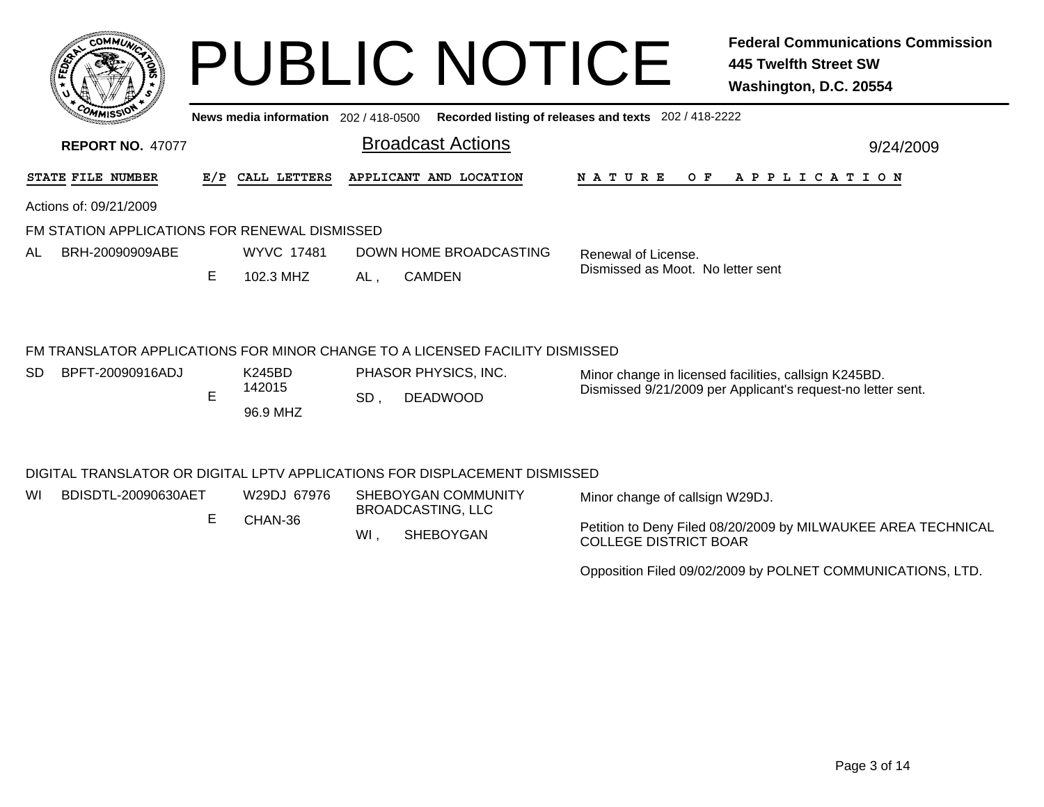| <b>COMMUL</b>                                                                |     |                        |                | <b>PUBLIC NOTICE</b>     |                                                       | <b>Federal Communications Commission</b><br>445 Twelfth Street SW<br>Washington, D.C. 20554 |
|------------------------------------------------------------------------------|-----|------------------------|----------------|--------------------------|-------------------------------------------------------|---------------------------------------------------------------------------------------------|
|                                                                              |     | News media information | 202 / 418-0500 |                          | Recorded listing of releases and texts 202 / 418-2222 |                                                                                             |
| <b>REPORT NO. 47077</b>                                                      |     |                        |                | <b>Broadcast Actions</b> |                                                       | 9/24/2009                                                                                   |
| <b>STATE FILE NUMBER</b>                                                     | E/P | CALL LETTERS           |                | APPLICANT AND LOCATION   | <b>NATURE</b><br>O F                                  | A P P L I C A T I O N                                                                       |
| Actions of: 09/21/2009                                                       |     |                        |                |                          |                                                       |                                                                                             |
| FM STATION APPLICATIONS FOR RENEWAL DISMISSED                                |     |                        |                |                          |                                                       |                                                                                             |
| AL<br>BRH-20090909ABE                                                        |     | <b>WYVC 17481</b>      |                | DOWN HOME BROADCASTING   | Renewal of License.                                   |                                                                                             |
|                                                                              | E.  | 102.3 MHZ              | AL.            | <b>CAMDEN</b>            | Dismissed as Moot. No letter sent                     |                                                                                             |
| FM TRANSLATOR APPLICATIONS FOR MINOR CHANGE TO A LICENSED FACILITY DISMISSED |     |                        |                |                          |                                                       |                                                                                             |
| <b>SD</b><br>BPFT-20090916ADJ                                                |     | K245BD                 |                | PHASOR PHYSICS, INC.     |                                                       | Minor change in licensed facilities, callsign K245BD.                                       |
|                                                                              | Е   | 142015                 | CD.            | DEADMOOD                 |                                                       | Dismissed 9/21/2009 per Applicant's request-no letter sent.                                 |

## DIGITAL TRANSLATOR OR DIGITAL LPTV APPLICATIONS FOR DISPLACEMENT DISMISSED

96.9 MHZ

E

, DEADWOOD SD

| WI | BDISDTL-20090630AET | W29DJ 67976 | SHEBOYGAN COMMUNITY<br>BROADCASTING, LLC | Minor change of callsign W29DJ.                                                               |
|----|---------------------|-------------|------------------------------------------|-----------------------------------------------------------------------------------------------|
|    |                     | CHAN-36     | SHEBOYGAN                                | Petition to Deny Filed 08/20/2009 by MILWAUKEE AREA TECHNICAL<br><b>COLLEGE DISTRICT BOAR</b> |

Opposition Filed 09/02/2009 by POLNET COMMUNICATIONS, LTD.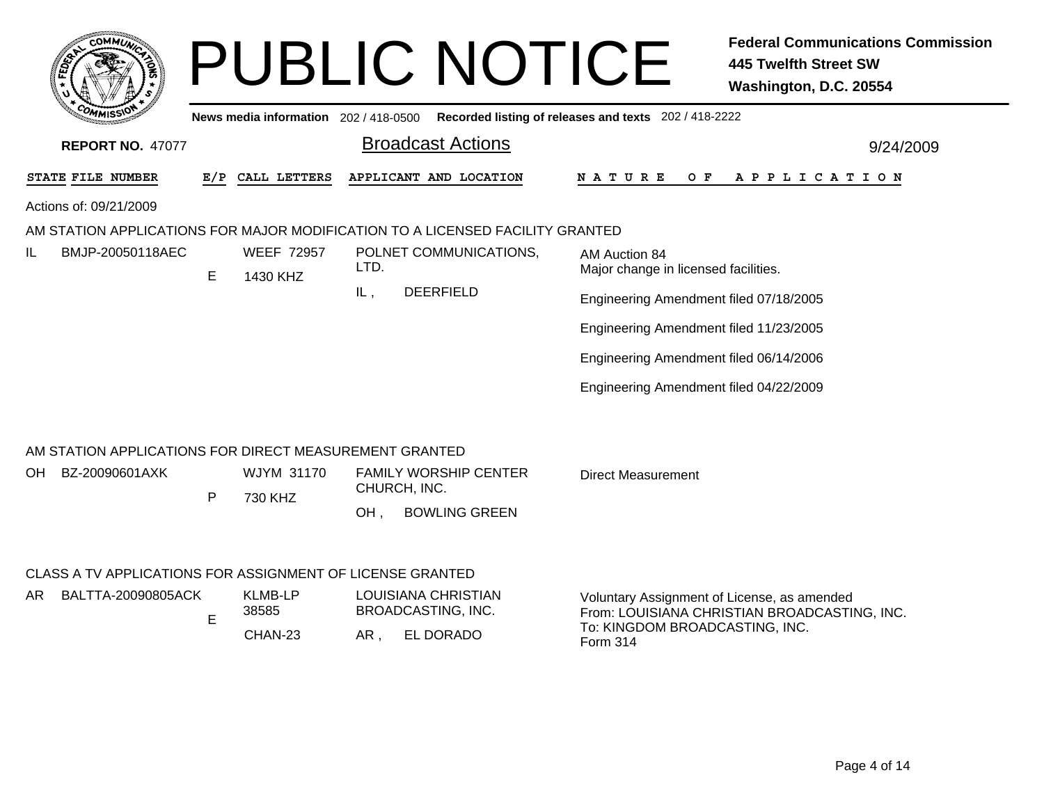|                                                                                 |   |                                     | <b>PUBLIC NOTICE</b>                                                          | <b>Federal Communications Commission</b><br><b>445 Twelfth Street SW</b><br>Washington, D.C. 20554                                        |
|---------------------------------------------------------------------------------|---|-------------------------------------|-------------------------------------------------------------------------------|-------------------------------------------------------------------------------------------------------------------------------------------|
|                                                                                 |   | News media information 202/418-0500 |                                                                               | Recorded listing of releases and texts 202 / 418-2222                                                                                     |
| <b>REPORT NO. 47077</b>                                                         |   |                                     | <b>Broadcast Actions</b>                                                      | 9/24/2009                                                                                                                                 |
| <b>STATE FILE NUMBER</b>                                                        |   | E/P CALL LETTERS                    | APPLICANT AND LOCATION                                                        | O F<br>A P P L I C A T I O N<br>N A T U R E                                                                                               |
| Actions of: 09/21/2009                                                          |   |                                     |                                                                               |                                                                                                                                           |
|                                                                                 |   |                                     | AM STATION APPLICATIONS FOR MAJOR MODIFICATION TO A LICENSED FACILITY GRANTED |                                                                                                                                           |
| BMJP-20050118AEC<br>IL                                                          | E | <b>WEEF 72957</b><br>1430 KHZ       | POLNET COMMUNICATIONS,<br>LTD.                                                | AM Auction 84<br>Major change in licensed facilities.                                                                                     |
|                                                                                 |   |                                     | <b>DEERFIELD</b><br>IL,                                                       | Engineering Amendment filed 07/18/2005                                                                                                    |
|                                                                                 |   |                                     |                                                                               | Engineering Amendment filed 11/23/2005                                                                                                    |
|                                                                                 |   |                                     |                                                                               | Engineering Amendment filed 06/14/2006                                                                                                    |
|                                                                                 |   |                                     |                                                                               | Engineering Amendment filed 04/22/2009                                                                                                    |
| AM STATION APPLICATIONS FOR DIRECT MEASUREMENT GRANTED<br>BZ-20090601AXK<br>OH. | P | WJYM 31170<br>730 KHZ               | <b>FAMILY WORSHIP CENTER</b><br>CHURCH, INC.<br><b>BOWLING GREEN</b><br>OH.   | <b>Direct Measurement</b>                                                                                                                 |
| CLASS A TV APPLICATIONS FOR ASSIGNMENT OF LICENSE GRANTED                       |   |                                     |                                                                               |                                                                                                                                           |
| BALTTA-20090805ACK<br>AR.                                                       | E | <b>KLMB-LP</b><br>38585<br>CHAN-23  | LOUISIANA CHRISTIAN<br>BROADCASTING, INC.<br>EL DORADO<br>AR,                 | Voluntary Assignment of License, as amended<br>From: LOUISIANA CHRISTIAN BROADCASTING, INC.<br>To: KINGDOM BROADCASTING, INC.<br>Form 314 |
|                                                                                 |   |                                     |                                                                               |                                                                                                                                           |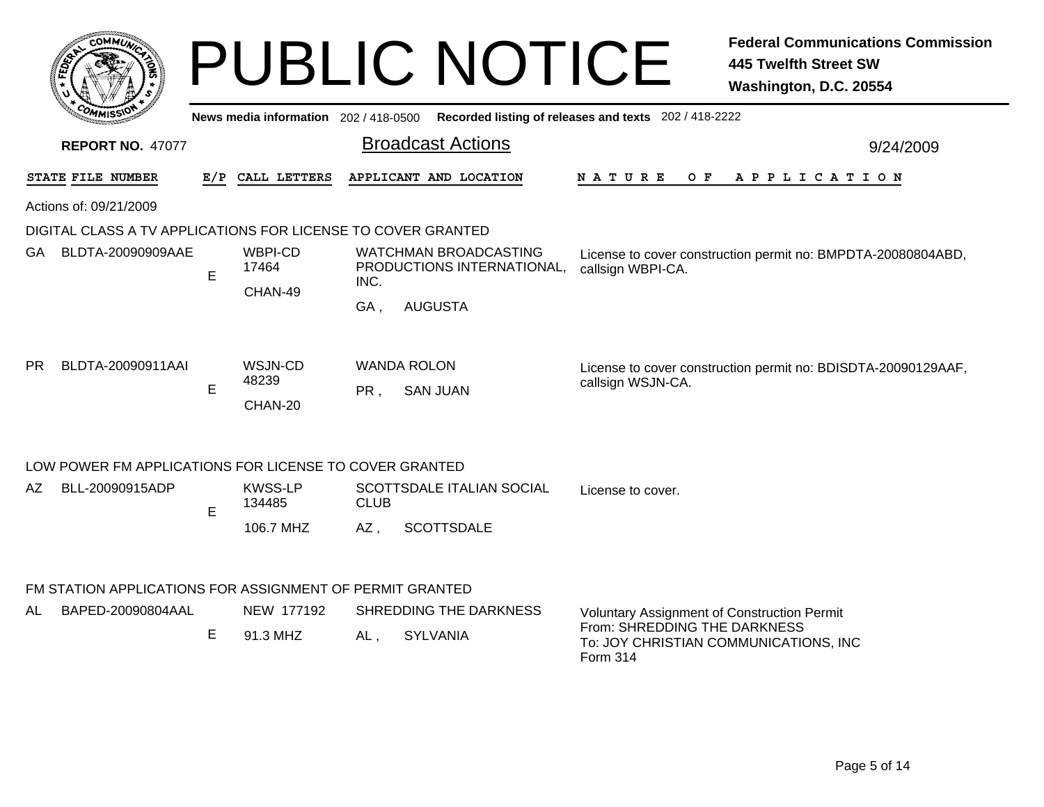|           |                                                              |   |                                     |             | <b>PUBLIC NOTICE</b>                                       |                                                       | <b>Federal Communications Commission</b><br><b>445 Twelfth Street SW</b><br>Washington, D.C. 20554 |
|-----------|--------------------------------------------------------------|---|-------------------------------------|-------------|------------------------------------------------------------|-------------------------------------------------------|----------------------------------------------------------------------------------------------------|
|           |                                                              |   | News media information 202/418-0500 |             |                                                            | Recorded listing of releases and texts 202 / 418-2222 |                                                                                                    |
|           | <b>REPORT NO. 47077</b>                                      |   |                                     |             | <b>Broadcast Actions</b>                                   |                                                       | 9/24/2009                                                                                          |
|           | STATE FILE NUMBER                                            |   | E/P CALL LETTERS                    |             | APPLICANT AND LOCATION                                     | <b>NATURE</b><br>O F                                  | A P P L I C A T I O N                                                                              |
|           | Actions of: 09/21/2009                                       |   |                                     |             |                                                            |                                                       |                                                                                                    |
|           | DIGITAL CLASS A TV APPLICATIONS FOR LICENSE TO COVER GRANTED |   |                                     |             |                                                            |                                                       |                                                                                                    |
| GA.       | BLDTA-20090909AAE                                            | E | WBPI-CD<br>17464                    |             | <b>WATCHMAN BROADCASTING</b><br>PRODUCTIONS INTERNATIONAL, | callsign WBPI-CA.                                     | License to cover construction permit no: BMPDTA-20080804ABD,                                       |
|           |                                                              |   | CHAN-49                             | INC.<br>GA. | <b>AUGUSTA</b>                                             |                                                       |                                                                                                    |
| <b>PR</b> | BLDTA-20090911AAI                                            | E | WSJN-CD<br>48239<br>CHAN-20         | PR.         | <b>WANDA ROLON</b><br><b>SAN JUAN</b>                      | callsign WSJN-CA.                                     | License to cover construction permit no: BDISDTA-20090129AAF,                                      |
|           | LOW POWER FM APPLICATIONS FOR LICENSE TO COVER GRANTED       |   |                                     |             |                                                            |                                                       |                                                                                                    |
| AZ        | BLL-20090915ADP                                              | E | <b>KWSS-LP</b><br>134485            | <b>CLUB</b> | SCOTTSDALE ITALIAN SOCIAL                                  | License to cover.                                     |                                                                                                    |
|           |                                                              |   | 106.7 MHZ                           | $AZ$ ,      | <b>SCOTTSDALE</b>                                          |                                                       |                                                                                                    |
|           |                                                              |   |                                     |             |                                                            |                                                       |                                                                                                    |

FM STATION APPLICATIONS FOR ASSIGNMENT OF PERMIT GRANTED

| BAPED-20090804AAL | NEW 177192 |     | SHREDDING THE DARKNESS | <b>Voluntary Assignment of Construction Permit</b>                                |
|-------------------|------------|-----|------------------------|-----------------------------------------------------------------------------------|
|                   | 91.3 MHZ   | AL. | SYLVANIA               | From: SHREDDING THE DARKNESS<br>To: JOY CHRISTIAN COMMUNICATIONS, INC<br>Form 314 |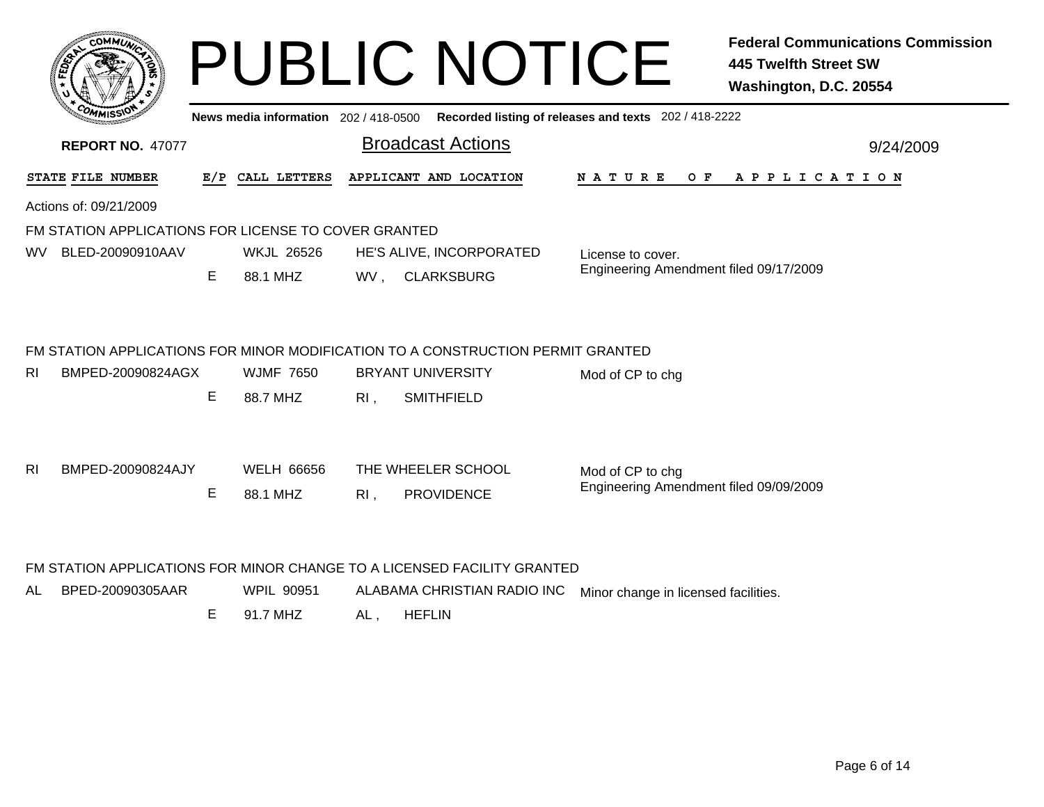|                | <b>COMMUT</b>                                        |    |                                       |                          | <b>PUBLIC NOTICE</b>                                                            |                                                       | <b>Federal Communications Commission</b><br><b>445 Twelfth Street SW</b><br>Washington, D.C. 20554 |
|----------------|------------------------------------------------------|----|---------------------------------------|--------------------------|---------------------------------------------------------------------------------|-------------------------------------------------------|----------------------------------------------------------------------------------------------------|
|                |                                                      |    | News media information 202 / 418-0500 |                          |                                                                                 | Recorded listing of releases and texts 202 / 418-2222 |                                                                                                    |
|                | <b>REPORT NO. 47077</b>                              |    |                                       |                          | <b>Broadcast Actions</b>                                                        |                                                       | 9/24/2009                                                                                          |
|                | STATE FILE NUMBER                                    |    | E/P CALL LETTERS                      |                          | APPLICANT AND LOCATION                                                          | NATURE<br>O F                                         | APPLICATION                                                                                        |
|                | Actions of: 09/21/2009                               |    |                                       |                          |                                                                                 |                                                       |                                                                                                    |
|                | FM STATION APPLICATIONS FOR LICENSE TO COVER GRANTED |    |                                       |                          |                                                                                 |                                                       |                                                                                                    |
| WV.            | BLED-20090910AAV                                     |    | <b>WKJL 26526</b>                     | HE'S ALIVE, INCORPORATED |                                                                                 | License to cover.                                     |                                                                                                    |
|                |                                                      | E  | 88.1 MHZ                              |                          | WV, CLARKSBURG                                                                  | Engineering Amendment filed 09/17/2009                |                                                                                                    |
|                |                                                      |    |                                       |                          | FM STATION APPLICATIONS FOR MINOR MODIFICATION TO A CONSTRUCTION PERMIT GRANTED |                                                       |                                                                                                    |
| RI.            | BMPED-20090824AGX                                    |    | <b>WJMF 7650</b>                      |                          | <b>BRYANT UNIVERSITY</b>                                                        | Mod of CP to chg                                      |                                                                                                    |
|                |                                                      | E. | 88.7 MHZ                              | RI,                      | <b>SMITHFIELD</b>                                                               |                                                       |                                                                                                    |
| R <sub>l</sub> | BMPED-20090824AJY                                    |    | <b>WELH 66656</b>                     |                          | THE WHEELER SCHOOL                                                              | Mod of CP to chg                                      |                                                                                                    |
|                |                                                      | Е  | 88.1 MHZ                              | $RI$ .                   | <b>PROVIDENCE</b>                                                               | Engineering Amendment filed 09/09/2009                |                                                                                                    |
|                |                                                      |    |                                       |                          | FM STATION APPLICATIONS FOR MINOR CHANGE TO A LICENSED FACILITY GRANTED         |                                                       |                                                                                                    |

AL BPED-20090305AARWPIL 90951 ALABAMA CHRISTIAN RADIO INC Minor change in licensed facilities.

> E 91.7 MHZAL , HEFLIN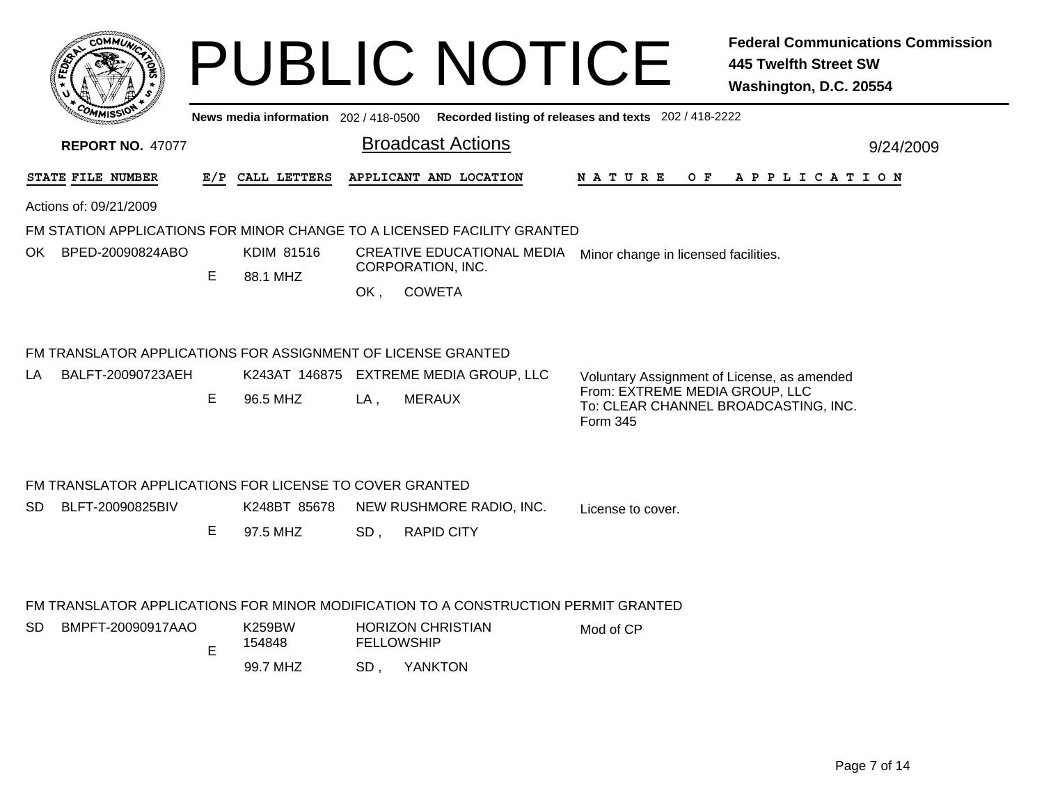|      | <b>MMUNI</b><br>$C_{\mathbf{U}}$<br>¢  |   |
|------|----------------------------------------|---|
| ద్రీ |                                        | c |
| c    |                                        |   |
|      | CO <sub>M</sub><br><b>MISS</b><br>muce |   |

## PUBLIC NOTICE **Federal Communications Commission 445 Twelfth Street SW Washington, D.C. 20554**

**News media information** 202 / 418-0500**Recorded listing of releases and texts** 202 / 418-2222

|                  | <b>Broadcast Actions</b>                       | 9/24/2009                                                                                                                                                                                                                                                                                                                                                                                                                                                                                                                                                         |
|------------------|------------------------------------------------|-------------------------------------------------------------------------------------------------------------------------------------------------------------------------------------------------------------------------------------------------------------------------------------------------------------------------------------------------------------------------------------------------------------------------------------------------------------------------------------------------------------------------------------------------------------------|
|                  |                                                |                                                                                                                                                                                                                                                                                                                                                                                                                                                                                                                                                                   |
| E/P CALL LETTERS |                                                | N A T U R E<br>OF APPLICATION                                                                                                                                                                                                                                                                                                                                                                                                                                                                                                                                     |
|                  |                                                |                                                                                                                                                                                                                                                                                                                                                                                                                                                                                                                                                                   |
|                  |                                                |                                                                                                                                                                                                                                                                                                                                                                                                                                                                                                                                                                   |
| KDIM 81516       |                                                | Minor change in licensed facilities.                                                                                                                                                                                                                                                                                                                                                                                                                                                                                                                              |
| 88.1 MHZ         |                                                |                                                                                                                                                                                                                                                                                                                                                                                                                                                                                                                                                                   |
|                  | <b>COWETA</b>                                  |                                                                                                                                                                                                                                                                                                                                                                                                                                                                                                                                                                   |
|                  |                                                |                                                                                                                                                                                                                                                                                                                                                                                                                                                                                                                                                                   |
|                  |                                                |                                                                                                                                                                                                                                                                                                                                                                                                                                                                                                                                                                   |
|                  |                                                | Voluntary Assignment of License, as amended<br>From: EXTREME MEDIA GROUP, LLC                                                                                                                                                                                                                                                                                                                                                                                                                                                                                     |
|                  |                                                | To: CLEAR CHANNEL BROADCASTING, INC.<br><b>Form 345</b>                                                                                                                                                                                                                                                                                                                                                                                                                                                                                                           |
|                  |                                                |                                                                                                                                                                                                                                                                                                                                                                                                                                                                                                                                                                   |
|                  |                                                | License to cover.                                                                                                                                                                                                                                                                                                                                                                                                                                                                                                                                                 |
|                  |                                                |                                                                                                                                                                                                                                                                                                                                                                                                                                                                                                                                                                   |
|                  |                                                |                                                                                                                                                                                                                                                                                                                                                                                                                                                                                                                                                                   |
|                  |                                                |                                                                                                                                                                                                                                                                                                                                                                                                                                                                                                                                                                   |
| <b>K259BW</b>    |                                                | Mod of CP                                                                                                                                                                                                                                                                                                                                                                                                                                                                                                                                                         |
|                  |                                                |                                                                                                                                                                                                                                                                                                                                                                                                                                                                                                                                                                   |
|                  | 96.5 MHZ<br>K248BT 85678<br>97.5 MHZ<br>154848 | APPLICANT AND LOCATION<br>FM STATION APPLICATIONS FOR MINOR CHANGE TO A LICENSED FACILITY GRANTED<br><b>CREATIVE EDUCATIONAL MEDIA</b><br>CORPORATION, INC.<br>OK.<br>FM TRANSLATOR APPLICATIONS FOR ASSIGNMENT OF LICENSE GRANTED<br>K243AT 146875 EXTREME MEDIA GROUP, LLC<br><b>MERAUX</b><br>$LA$ ,<br>FM TRANSLATOR APPLICATIONS FOR LICENSE TO COVER GRANTED<br>NEW RUSHMORE RADIO, INC.<br><b>RAPID CITY</b><br>SD,<br>FM TRANSLATOR APPLICATIONS FOR MINOR MODIFICATION TO A CONSTRUCTION PERMIT GRANTED<br><b>HORIZON CHRISTIAN</b><br><b>FELLOWSHIP</b> |

99.7 MHZ

, YANKTON SD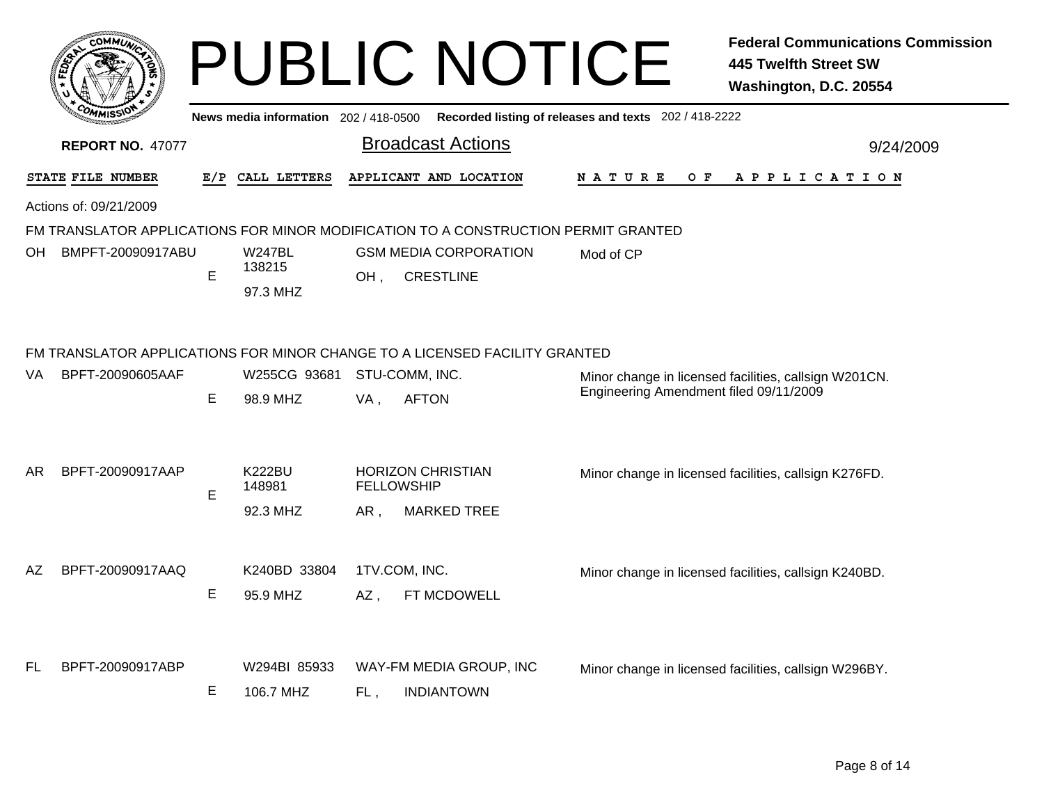|     | <b>COMMUT</b>           |     |                                     |     | <b>PUBLIC NOTICE</b>                                                                        |                                        | <b>Federal Communications Commission</b><br><b>445 Twelfth Street SW</b><br>Washington, D.C. 20554 |
|-----|-------------------------|-----|-------------------------------------|-----|---------------------------------------------------------------------------------------------|----------------------------------------|----------------------------------------------------------------------------------------------------|
|     |                         |     |                                     |     | News media information 202 / 418-0500 Recorded listing of releases and texts 202 / 418-2222 |                                        |                                                                                                    |
|     | <b>REPORT NO. 47077</b> |     |                                     |     | <b>Broadcast Actions</b>                                                                    |                                        | 9/24/2009                                                                                          |
|     | STATE FILE NUMBER       | E/P | CALL LETTERS                        |     | APPLICANT AND LOCATION                                                                      | <b>NATURE</b><br>O F                   | A P P L I C A T I O N                                                                              |
|     | Actions of: 09/21/2009  |     |                                     |     |                                                                                             |                                        |                                                                                                    |
|     |                         |     |                                     |     | FM TRANSLATOR APPLICATIONS FOR MINOR MODIFICATION TO A CONSTRUCTION PERMIT GRANTED          |                                        |                                                                                                    |
| OН  | BMPFT-20090917ABU       | E   | <b>W247BL</b><br>138215<br>97.3 MHZ | OH, | <b>GSM MEDIA CORPORATION</b><br><b>CRESTLINE</b>                                            | Mod of CP                              |                                                                                                    |
|     |                         |     |                                     |     | FM TRANSLATOR APPLICATIONS FOR MINOR CHANGE TO A LICENSED FACILITY GRANTED                  |                                        |                                                                                                    |
| VA. | BPFT-20090605AAF        |     | W255CG 93681                        |     | STU-COMM, INC.                                                                              | Engineering Amendment filed 09/11/2009 | Minor change in licensed facilities, callsign W201CN.                                              |
|     |                         | Е   | 98.9 MHZ                            | VA, | <b>AFTON</b>                                                                                |                                        |                                                                                                    |
| AR. | BPFT-20090917AAP        |     | <b>K222BU</b>                       |     | <b>HORIZON CHRISTIAN</b>                                                                    |                                        | Minor change in licensed facilities, callsign K276FD.                                              |
|     |                         | E   | 148981                              |     | <b>FELLOWSHIP</b>                                                                           |                                        |                                                                                                    |
|     |                         |     | 92.3 MHZ                            | AR, | <b>MARKED TREE</b>                                                                          |                                        |                                                                                                    |
| AZ. | BPFT-20090917AAQ        |     | K240BD 33804                        |     | 1TV.COM, INC.                                                                               |                                        | Minor change in licensed facilities, callsign K240BD.                                              |
|     |                         | Е   | 95.9 MHZ                            | AZ, | FT MCDOWELL                                                                                 |                                        |                                                                                                    |
| FL  | BPFT-20090917ABP        |     | W294BI 85933                        |     | WAY-FM MEDIA GROUP, INC                                                                     |                                        | Minor change in licensed facilities, callsign W296BY.                                              |
|     |                         | Е   | 106.7 MHZ                           | FL, | <b>INDIANTOWN</b>                                                                           |                                        |                                                                                                    |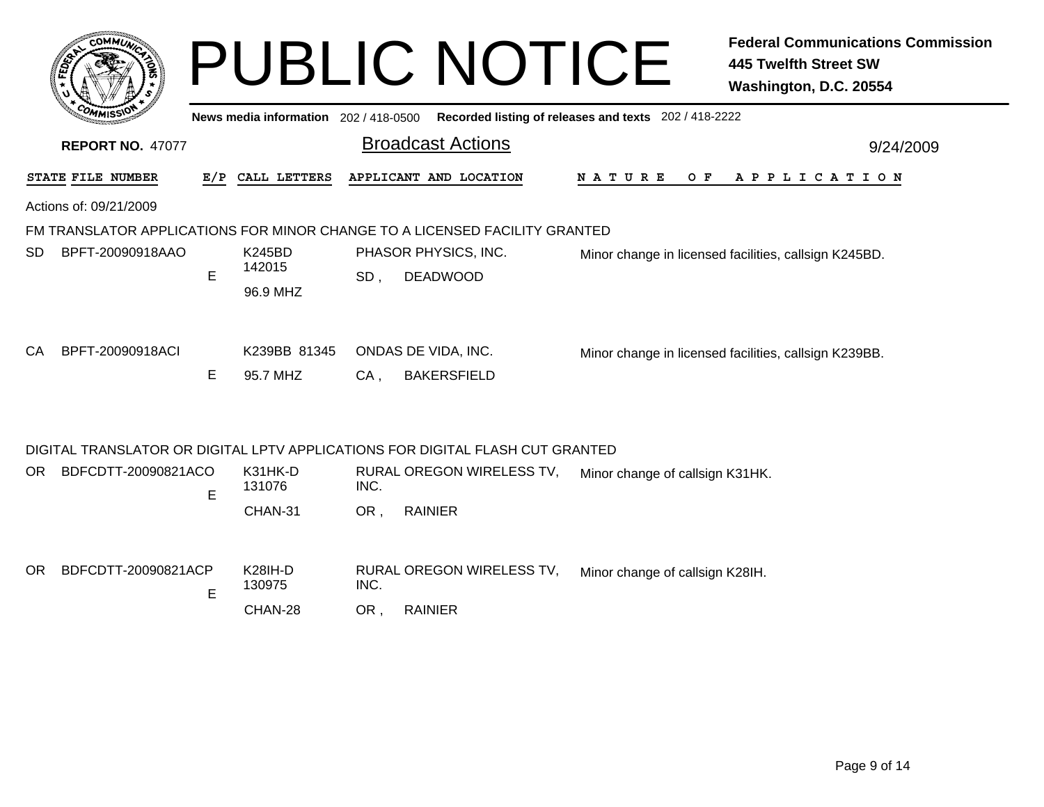|                                                                                             |     |                    |                      | <b>PUBLIC NOTICE</b>      |                                 | <b>Federal Communications Commission</b><br><b>445 Twelfth Street SW</b><br>Washington, D.C. 20554 |  |  |  |
|---------------------------------------------------------------------------------------------|-----|--------------------|----------------------|---------------------------|---------------------------------|----------------------------------------------------------------------------------------------------|--|--|--|
| News media information 202 / 418-0500 Recorded listing of releases and texts 202 / 418-2222 |     |                    |                      |                           |                                 |                                                                                                    |  |  |  |
| <b>REPORT NO. 47077</b>                                                                     |     |                    |                      | <b>Broadcast Actions</b>  |                                 | 9/24/2009                                                                                          |  |  |  |
| STATE FILE NUMBER                                                                           | E/P | CALL LETTERS       |                      | APPLICANT AND LOCATION    | O F<br>N A T U R E              | A P P L I C A T I O N                                                                              |  |  |  |
| Actions of: 09/21/2009                                                                      |     |                    |                      |                           |                                 |                                                                                                    |  |  |  |
| FM TRANSLATOR APPLICATIONS FOR MINOR CHANGE TO A LICENSED FACILITY GRANTED                  |     |                    |                      |                           |                                 |                                                                                                    |  |  |  |
| BPFT-20090918AAO<br>SD.                                                                     |     | K245BD             | PHASOR PHYSICS, INC. |                           |                                 | Minor change in licensed facilities, callsign K245BD.                                              |  |  |  |
|                                                                                             | E   | 142015<br>96.9 MHZ | SD.                  | <b>DEADWOOD</b>           |                                 |                                                                                                    |  |  |  |
| BPFT-20090918ACI<br>CA                                                                      |     | K239BB 81345       |                      | ONDAS DE VIDA, INC.       |                                 | Minor change in licensed facilities, callsign K239BB.                                              |  |  |  |
|                                                                                             | E   | 95.7 MHZ           | $CA$ ,               | <b>BAKERSFIELD</b>        |                                 |                                                                                                    |  |  |  |
| DIGITAL TRANSLATOR OR DIGITAL LPTV APPLICATIONS FOR DIGITAL FLASH CUT GRANTED               |     |                    |                      |                           |                                 |                                                                                                    |  |  |  |
| BDFCDTT-20090821ACO<br>OR.                                                                  | E   | K31HK-D<br>131076  | INC.                 | RURAL OREGON WIRELESS TV, | Minor change of callsign K31HK. |                                                                                                    |  |  |  |
|                                                                                             |     | CHAN-31            | OR,                  | <b>RAINIER</b>            |                                 |                                                                                                    |  |  |  |
|                                                                                             |     |                    |                      |                           |                                 |                                                                                                    |  |  |  |
| BDFCDTT-20090821ACP<br>OR.                                                                  | E   | K28IH-D<br>130975  | INC.                 | RURAL OREGON WIRELESS TV, | Minor change of callsign K28IH. |                                                                                                    |  |  |  |
|                                                                                             |     | CHAN-28            | OR,                  | <b>RAINIER</b>            |                                 |                                                                                                    |  |  |  |
|                                                                                             |     |                    |                      |                           |                                 |                                                                                                    |  |  |  |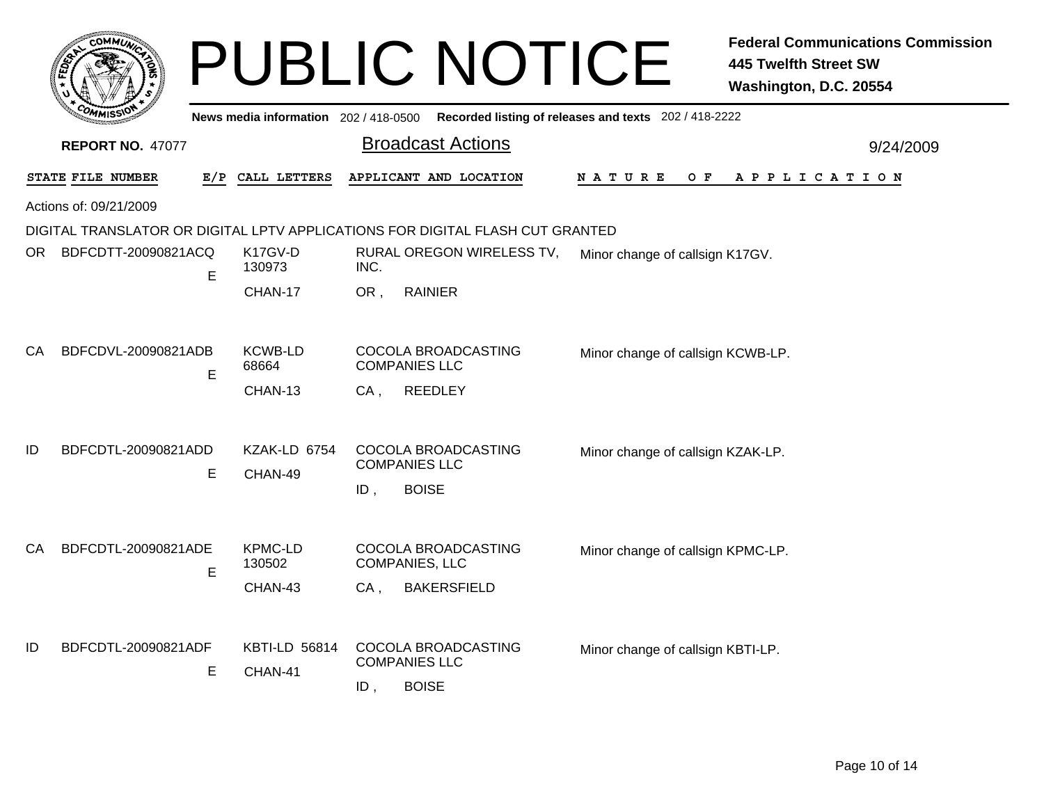|      |                         |   |                                     | <b>PUBLIC NOTICE</b>                                                          |                                                                                             | <b>Federal Communications Commission</b><br><b>445 Twelfth Street SW</b><br>Washington, D.C. 20554 |  |  |
|------|-------------------------|---|-------------------------------------|-------------------------------------------------------------------------------|---------------------------------------------------------------------------------------------|----------------------------------------------------------------------------------------------------|--|--|
|      |                         |   |                                     |                                                                               | News media information 202 / 418-0500 Recorded listing of releases and texts 202 / 418-2222 |                                                                                                    |  |  |
|      | <b>REPORT NO. 47077</b> |   |                                     | <b>Broadcast Actions</b>                                                      |                                                                                             | 9/24/2009                                                                                          |  |  |
|      | STATE FILE NUMBER       |   | E/P CALL LETTERS                    | APPLICANT AND LOCATION                                                        | N A T U R E<br>O F                                                                          | A P P L I C A T I O N                                                                              |  |  |
|      | Actions of: 09/21/2009  |   |                                     |                                                                               |                                                                                             |                                                                                                    |  |  |
|      |                         |   |                                     | DIGITAL TRANSLATOR OR DIGITAL LPTV APPLICATIONS FOR DIGITAL FLASH CUT GRANTED |                                                                                             |                                                                                                    |  |  |
| OR . | BDFCDTT-20090821ACQ     | E | K <sub>17</sub> GV-D<br>130973      | RURAL OREGON WIRELESS TV,<br>INC.                                             |                                                                                             | Minor change of callsign K17GV.                                                                    |  |  |
|      |                         |   | CHAN-17                             | OR,<br><b>RAINIER</b>                                                         |                                                                                             |                                                                                                    |  |  |
| CA.  | BDFCDVL-20090821ADB     | E | <b>KCWB-LD</b><br>68664<br>CHAN-13  | COCOLA BROADCASTING<br><b>COMPANIES LLC</b><br><b>REEDLEY</b><br>CA,          | Minor change of callsign KCWB-LP.                                                           |                                                                                                    |  |  |
| ID   | BDFCDTL-20090821ADD     | E | KZAK-LD 6754<br>CHAN-49             | COCOLA BROADCASTING<br><b>COMPANIES LLC</b><br><b>BOISE</b><br>ID,            | Minor change of callsign KZAK-LP.                                                           |                                                                                                    |  |  |
| CA.  | BDFCDTL-20090821ADE     | E | <b>KPMC-LD</b><br>130502<br>CHAN-43 | COCOLA BROADCASTING<br><b>COMPANIES, LLC</b><br><b>BAKERSFIELD</b><br>$CA$ ,  | Minor change of callsign KPMC-LP.                                                           |                                                                                                    |  |  |
| ID   | BDFCDTL-20090821ADF     | E | <b>KBTI-LD 56814</b><br>CHAN-41     | COCOLA BROADCASTING<br><b>COMPANIES LLC</b><br><b>BOISE</b><br>ID,            | Minor change of callsign KBTI-LP.                                                           |                                                                                                    |  |  |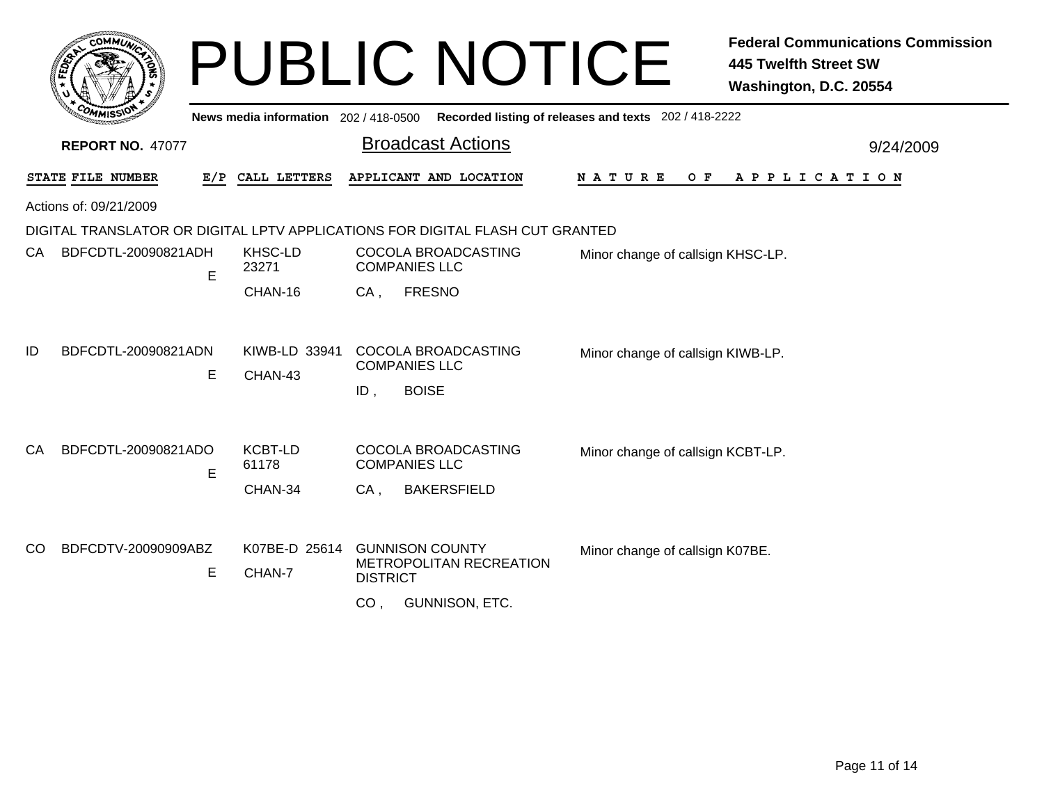|    |                          |                                     | <b>PUBLIC NOTICE</b>                                                          | <b>Federal Communications Commission</b><br><b>445 Twelfth Street SW</b><br>Washington, D.C. 20554 |
|----|--------------------------|-------------------------------------|-------------------------------------------------------------------------------|----------------------------------------------------------------------------------------------------|
|    |                          | News media information 202/418-0500 |                                                                               | Recorded listing of releases and texts 202 / 418-2222                                              |
|    | <b>REPORT NO. 47077</b>  |                                     | <b>Broadcast Actions</b>                                                      | 9/24/2009                                                                                          |
|    | STATE FILE NUMBER        | E/P CALL LETTERS                    | APPLICANT AND LOCATION                                                        | <b>NATURE</b><br>O F<br>A P P L I C A T I O N                                                      |
|    | Actions of: 09/21/2009   |                                     |                                                                               |                                                                                                    |
|    |                          |                                     | DIGITAL TRANSLATOR OR DIGITAL LPTV APPLICATIONS FOR DIGITAL FLASH CUT GRANTED |                                                                                                    |
|    | BDFCDTL-20090821ADH<br>E | KHSC-LD<br>23271                    | COCOLA BROADCASTING<br><b>COMPANIES LLC</b>                                   | Minor change of callsign KHSC-LP.                                                                  |
|    |                          | CHAN-16                             | <b>FRESNO</b><br>CA,                                                          |                                                                                                    |
| ID | BDFCDTL-20090821ADN      | KIWB-LD 33941                       | COCOLA BROADCASTING                                                           | Minor change of callsign KIWB-LP.                                                                  |
|    | E                        | CHAN-43                             | <b>COMPANIES LLC</b><br><b>BOISE</b><br>ID,                                   |                                                                                                    |
| СA | BDFCDTL-20090821ADO      | <b>KCBT-LD</b>                      | COCOLA BROADCASTING                                                           | Minor change of callsign KCBT-LP.                                                                  |
|    | Е                        | 61178                               | <b>COMPANIES LLC</b>                                                          |                                                                                                    |
|    |                          | CHAN-34                             | <b>BAKERSFIELD</b><br>CA,                                                     |                                                                                                    |
| CO | BDFCDTV-20090909ABZ      | K07BE-D 25614                       | <b>GUNNISON COUNTY</b>                                                        | Minor change of callsign K07BE.                                                                    |
|    | Е                        | CHAN-7                              | METROPOLITAN RECREATION<br><b>DISTRICT</b>                                    |                                                                                                    |
|    |                          |                                     | <b>GUNNISON, ETC.</b><br>CO <sub>1</sub>                                      |                                                                                                    |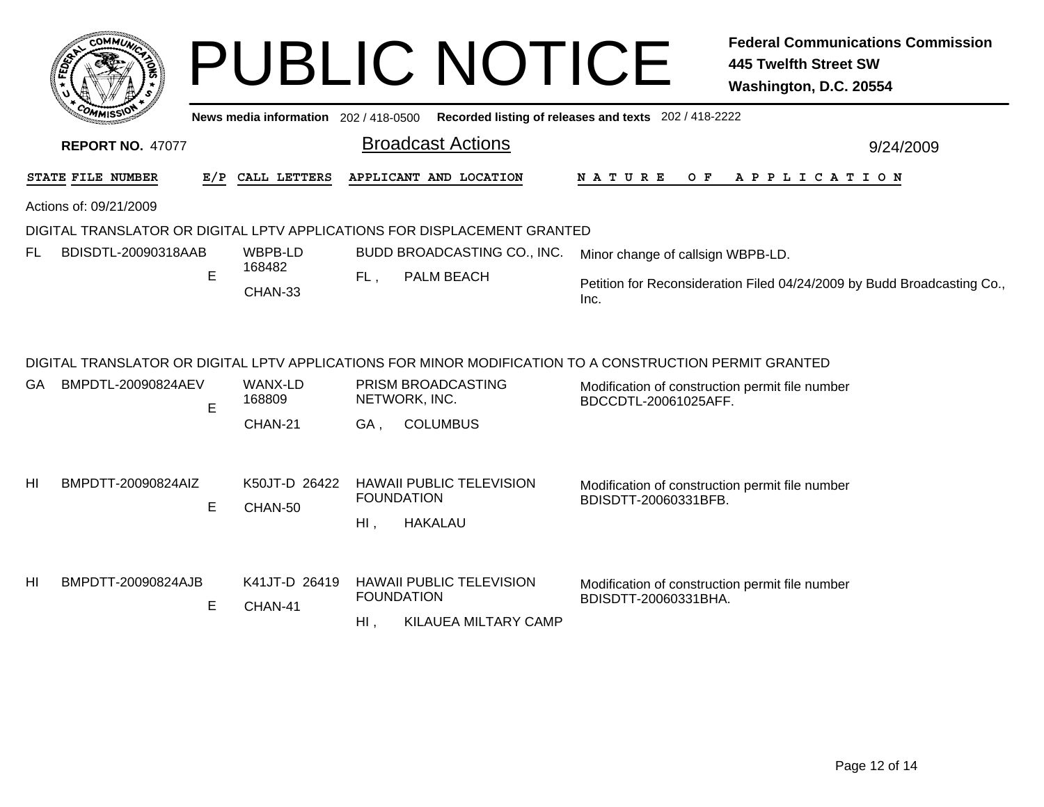|                                                                                         | соммий                  |     |                              |        | <b>PUBLIC NOTICE</b>                                                                                                                                              |                                                                         | <b>Federal Communications Commission</b><br><b>445 Twelfth Street SW</b><br>Washington, D.C. 20554 |  |
|-----------------------------------------------------------------------------------------|-------------------------|-----|------------------------------|--------|-------------------------------------------------------------------------------------------------------------------------------------------------------------------|-------------------------------------------------------------------------|----------------------------------------------------------------------------------------------------|--|
| News media information 202/418-0500 Recorded listing of releases and texts 202/418-2222 |                         |     |                              |        |                                                                                                                                                                   |                                                                         |                                                                                                    |  |
|                                                                                         | <b>REPORT NO. 47077</b> |     |                              |        | <b>Broadcast Actions</b>                                                                                                                                          |                                                                         | 9/24/2009                                                                                          |  |
|                                                                                         | STATE FILE NUMBER       | E/P | CALL LETTERS                 |        | APPLICANT AND LOCATION                                                                                                                                            | N A T U R E<br>O F                                                      | A P P L I C A T I O N                                                                              |  |
|                                                                                         | Actions of: 09/21/2009  |     |                              |        |                                                                                                                                                                   |                                                                         |                                                                                                    |  |
|                                                                                         |                         |     |                              |        | DIGITAL TRANSLATOR OR DIGITAL LPTV APPLICATIONS FOR DISPLACEMENT GRANTED                                                                                          |                                                                         |                                                                                                    |  |
| FL                                                                                      | BDISDTL-20090318AAB     |     | WBPB-LD                      |        | BUDD BROADCASTING CO., INC.<br>PALM BEACH                                                                                                                         | Minor change of callsign WBPB-LD.                                       |                                                                                                    |  |
|                                                                                         |                         | E   | 168482<br>CHAN-33            | FL,    |                                                                                                                                                                   | Inc.                                                                    | Petition for Reconsideration Filed 04/24/2009 by Budd Broadcasting Co.,                            |  |
| GA.                                                                                     | BMPDTL-20090824AEV      | E   | WANX-LD<br>168809<br>CHAN-21 | GA,    | DIGITAL TRANSLATOR OR DIGITAL LPTV APPLICATIONS FOR MINOR MODIFICATION TO A CONSTRUCTION PERMIT GRANTED<br>PRISM BROADCASTING<br>NETWORK, INC.<br><b>COLUMBUS</b> | Modification of construction permit file number<br>BDCCDTL-20061025AFF. |                                                                                                    |  |
| HI                                                                                      | BMPDTT-20090824AIZ      | E   | K50JT-D 26422<br>CHAN-50     | $Hl$ , | <b>HAWAII PUBLIC TELEVISION</b><br><b>FOUNDATION</b><br><b>HAKALAU</b>                                                                                            | Modification of construction permit file number<br>BDISDTT-20060331BFB. |                                                                                                    |  |
| HI                                                                                      | BMPDTT-20090824AJB      | E   | K41JT-D 26419<br>CHAN-41     | $HI$ , | <b>HAWAII PUBLIC TELEVISION</b><br><b>FOUNDATION</b><br><b>KILAUEA MILTARY CAMP</b>                                                                               | Modification of construction permit file number<br>BDISDTT-20060331BHA. |                                                                                                    |  |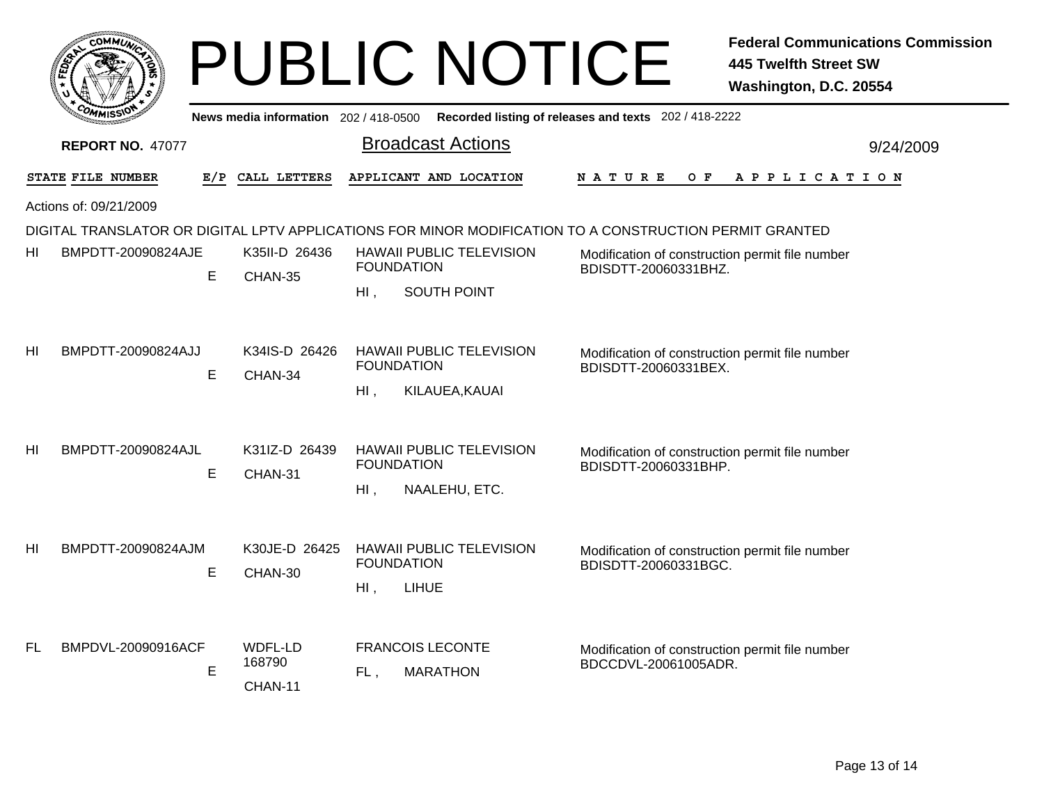|                |                         |   |                                       | <b>PUBLIC NOTICE</b>                                                                                    |                                                                         | <b>Federal Communications Commission</b><br>445 Twelfth Street SW<br>Washington, D.C. 20554 |
|----------------|-------------------------|---|---------------------------------------|---------------------------------------------------------------------------------------------------------|-------------------------------------------------------------------------|---------------------------------------------------------------------------------------------|
|                |                         |   | News media information 202 / 418-0500 |                                                                                                         | Recorded listing of releases and texts 202 / 418-2222                   |                                                                                             |
|                | <b>REPORT NO. 47077</b> |   |                                       | <b>Broadcast Actions</b>                                                                                |                                                                         | 9/24/2009                                                                                   |
|                | STATE FILE NUMBER       |   | E/P CALL LETTERS                      | APPLICANT AND LOCATION                                                                                  | O F<br>N A T U R E                                                      | A P P L I C A T I O N                                                                       |
|                | Actions of: 09/21/2009  |   |                                       |                                                                                                         |                                                                         |                                                                                             |
|                |                         |   |                                       | DIGITAL TRANSLATOR OR DIGITAL LPTV APPLICATIONS FOR MINOR MODIFICATION TO A CONSTRUCTION PERMIT GRANTED |                                                                         |                                                                                             |
| HI             | BMPDTT-20090824AJE      | E | K35II-D 26436<br>CHAN-35              | <b>HAWAII PUBLIC TELEVISION</b><br><b>FOUNDATION</b>                                                    | Modification of construction permit file number<br>BDISDTT-20060331BHZ. |                                                                                             |
|                |                         |   |                                       | SOUTH POINT<br>$H1$ .                                                                                   |                                                                         |                                                                                             |
| H <sub>l</sub> | BMPDTT-20090824AJJ      | E | K34IS-D 26426<br>CHAN-34              | <b>HAWAII PUBLIC TELEVISION</b><br><b>FOUNDATION</b><br>$HI$ ,<br>KILAUEA, KAUAI                        | Modification of construction permit file number<br>BDISDTT-20060331BEX. |                                                                                             |
| HI             | BMPDTT-20090824AJL      | E | K31IZ-D 26439<br>CHAN-31              | <b>HAWAII PUBLIC TELEVISION</b><br><b>FOUNDATION</b><br>$HI$ .<br>NAALEHU, ETC.                         | Modification of construction permit file number<br>BDISDTT-20060331BHP. |                                                                                             |
| H <sub>l</sub> | BMPDTT-20090824AJM      | E | K30JE-D 26425<br>CHAN-30              | <b>HAWAII PUBLIC TELEVISION</b><br><b>FOUNDATION</b><br><b>LIHUE</b><br>$Hl$ ,                          | Modification of construction permit file number<br>BDISDTT-20060331BGC. |                                                                                             |
| FL             | BMPDVL-20090916ACF      | E | WDFL-LD<br>168790<br>CHAN-11          | <b>FRANCOIS LECONTE</b><br><b>MARATHON</b><br>FL,                                                       | Modification of construction permit file number<br>BDCCDVL-20061005ADR. |                                                                                             |